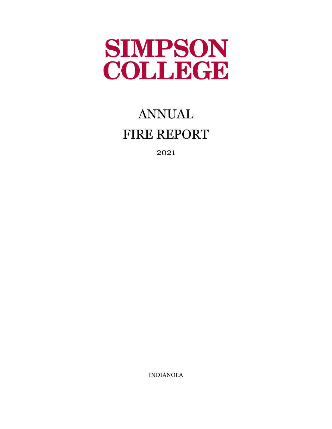

# ANNUAL FIRE REPORT

2021

INDIANOLA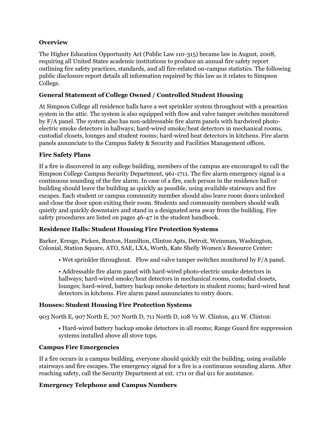#### **Overview**

The Higher Education Opportunity Act (Public Law 110-315) became law in August, 2008, requiring all United States academic institutions to produce an annual fire safety report outlining fire safety practices, standards, and all fire-related on-campus statistics. The following public disclosure report details all information required by this law as it relates to Simpson College.

#### **General Statement of College Owned / Controlled Student Housing**

At Simpson College all residence halls have a wet sprinkler system throughout with a preaction system in the attic. The system is also equipped with flow and valve tamper switches monitored by F/A panel. The system also has non-addressable fire alarm panels with hardwired photoelectric smoke detectors in hallways; hard-wired smoke/heat detectors in mechanical rooms, custodial closets, lounges and student rooms; hard-wired heat detectors in kitchens. Fire alarm panels annunciate to the Campus Safety & Security and Facilities Management offices.

#### **Fire Safety Plans**

If a fire is discovered in any college building, members of the campus are encouraged to call the Simpson College Campus Security Department, 961-1711. The fire alarm emergency signal is a continuous sounding of the fire alarm. In case of a fire, each person in the residence hall or building should leave the building as quickly as possible, using available stairways and fire escapes. Each student or campus community member should also leave room doors unlocked and close the door upon exiting their room. Students and community members should walk quietly and quickly downstairs and stand in a designated area away from the building. Fire safety procedures are listed on pages 46-47 in the student handbook.

#### **Residence Halls: Student Housing Fire Protection Systems**

Barker, Kresge, Picken, Buxton, Hamilton, Clinton Apts, Detroit, Weinman, Washington, Colonial, Station Square, ATO, SAE, LXA, Worth, Kate Shelly Women's Resource Center:

• Wet sprinkler throughout. Flow and valve tamper switches monitored by F/A panel.

• Addressable fire alarm panel with hard-wired photo-electric smoke detectors in hallways; hard-wired smoke/heat detectors in mechanical rooms, custodial closets, lounges; hard-wired, battery backup smoke detectors in student rooms; hard-wired heat detectors in kitchens. Fire alarm panel annunciates to entry doors.

#### **Houses: Student Housing Fire Protection Systems**

903 North E, 907 North E, 707 North D, 711 North D, 108 ½ W. Clinton, 411 W. Clinton:

• Hard-wired battery backup smoke detectors in all rooms; Range Guard fire suppression systems installed above all stove tops.

#### **Campus Fire Emergencies**

If a fire occurs in a campus building, everyone should quickly exit the building, using available stairways and fire escapes. The emergency signal for a fire is a continuous sounding alarm. After reaching safety, call the Security Department at ext. 1711 or dial 911 for assistance.

#### **Emergency Telephone and Campus Numbers**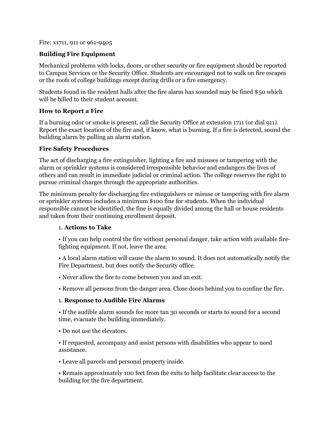#### Fire: x1711, 911 or 961-9405

#### **Building Fire Equipment**

Mechanical problems with locks, doors, or other security or fire equipment should be reported to Campus Services or the Security Office. Students are encouraged not to walk on fire escapes or the roofs of college buildings except during drills or a fire emergency.

Students found in the resident halls after the fire alarm has sounded may be fined \$50 which will be billed to their student account.

#### **How to Report a Fire**

If a burning odor or smoke is present, call the Security Office at extension 1711 (or dial 911). Report the exact location of the fire and, if know, what is burning. If a fire is detected, sound the building alarm by pulling an alarm station.

#### **Fire Safety Procedures**

The act of discharging a fire extinguisher, lighting a fire and misuses or tampering with the alarm or sprinkler systems is considered irresponsible behavior and endangers the lives of others and can result in immediate judicial or criminal action. The college reserves the right to pursue criminal charges through the appropriate authorities.

The minimum penalty for discharging fire extinguishers or misuse or tampering with fire alarm or sprinkler systems includes a minimum \$100 fine for students. When the individual responsible cannot be identified, the fine is equally divided among the hall or house residents and taken from their continuing enrollment deposit.

#### 1. **Actions to Take**

• If you can help control the fire without personal danger, take action with available firefighting equipment. If not, leave the area.

• A local alarm station will cause the alarm to sound. It does not automatically notify the Fire Department, but does notify the Security office.

• Never allow the fire to come between you and an exit.

• Remove all persons from the danger area. Close doors behind you to confine the fire.

#### 1. **Response to Audible Fire Alarms**

• If the audible alarm sounds for more tan 30 seconds or starts to sound for a second time, evacuate the building immediately.

• Do not use the elevators.

• If requested, accompany and assist persons with disabilities who appear to need assistance.

• Leave all parcels and personal property inside.

• Remain approximately 100 feet from the exits to help facilitate clear access to the building for the fire department.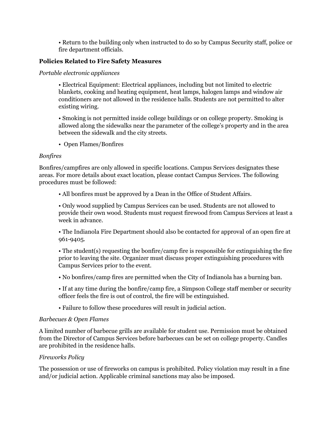• Return to the building only when instructed to do so by Campus Security staff, police or fire department officials.

#### **Policies Related to Fire Safety Measures**

#### *Portable electronic appliances*

• Electrical Equipment: Electrical appliances, including but not limited to electric blankets, cooking and heating equipment, heat lamps, halogen lamps and window air conditioners are not allowed in the residence halls. Students are not permitted to alter existing wiring.

• Smoking is not permitted inside college buildings or on college property. Smoking is allowed along the sidewalks near the parameter of the college's property and in the area between the sidewalk and the city streets.

• Open Flames/Bonfires

#### *Bonfires*

Bonfires/campfires are only allowed in specific locations. Campus Services designates these areas. For more details about exact location, please contact Campus Services. The following procedures must be followed:

• All bonfires must be approved by a Dean in the Office of Student Affairs.

• Only wood supplied by Campus Services can be used. Students are not allowed to provide their own wood. Students must request firewood from Campus Services at least a week in advance.

• The Indianola Fire Department should also be contacted for approval of an open fire at 961-9405.

• The student(s) requesting the bonfire/camp fire is responsible for extinguishing the fire prior to leaving the site. Organizer must discuss proper extinguishing procedures with Campus Services prior to the event.

- No bonfires/camp fires are permitted when the City of Indianola has a burning ban.
- If at any time during the bonfire/camp fire, a Simpson College staff member or security officer feels the fire is out of control, the fire will be extinguished.
- Failure to follow these procedures will result in judicial action.

#### *Barbecues & Open Flames*

A limited number of barbecue grills are available for student use. Permission must be obtained from the Director of Campus Services before barbecues can be set on college property. Candles are prohibited in the residence halls.

#### *Fireworks Policy*

The possession or use of fireworks on campus is prohibited. Policy violation may result in a fine and/or judicial action. Applicable criminal sanctions may also be imposed.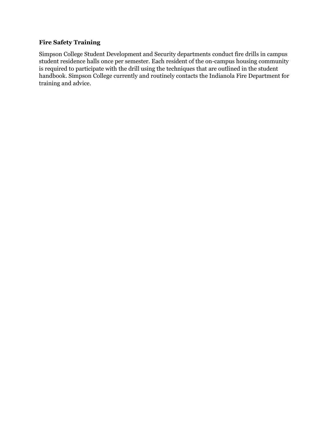#### **Fire Safety Training**

Simpson College Student Development and Security departments conduct fire drills in campus student residence halls once per semester. Each resident of the on-campus housing community is required to participate with the drill using the techniques that are outlined in the student handbook. Simpson College currently and routinely contacts the Indianola Fire Department for training and advice.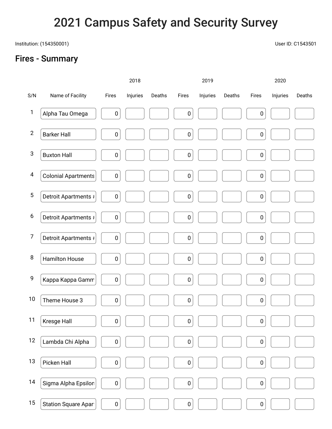## 2021 Campus Safety and Security Survey

Institution: (154350001) User ID: C1543501

### Fires - Summary

2018 2019 2020 S/N Name of Facility Fires Injuries Deaths Fires Injuries Deaths Fires Injuries Deaths 1 Alpha Tau Omega  $\begin{vmatrix} 0 & 0 & 0 \\ 0 & 0 & 0 \end{vmatrix}$   $\begin{vmatrix} 0 & 0 & 0 \\ 0 & 0 & 0 \\ 0 & 0 & 0 \end{vmatrix}$  0 2 Barker Hall  $\begin{vmatrix} 0 & 1 & 1 \\ 0 & 0 & 1 \end{vmatrix}$   $\begin{vmatrix} 0 & 1 & 1 \\ 0 & 0 & 1 \end{vmatrix}$  0 3 Buxton Hall  $\begin{vmatrix} 0 & 1 & 1 \\ 0 & 1 & 0 \end{vmatrix}$   $\begin{vmatrix} 0 & 1 & 1 \\ 0 & 0 & 0 \end{vmatrix}$   $\begin{vmatrix} 0 & 1 & 1 \\ 0 & 0 & 1 \end{vmatrix}$   $\begin{vmatrix} 0 & 1 & 1 \\ 0 & 0 & 1 \end{vmatrix}$ 4 Colonial Apartments | 0 | | | | | 0 | | | | 0 | | | 0 | | | 0 | | 0 | | 0 | | 0 | | 0 | | 0 | | 0 | | 0 | | 0 | | 0 | | 0 | | 0 | | 0 | | 0 | | 0 | | 0 | | 0 | | 0 | | 0 | | 0 | | 0 | | 0 | | 0 | | 0 | | 0 | | 0 | | 0 | 5 Detroit Apartments # 0 0 0 6 Detroit Apartments # 0 0 0 7 Detroit Apartments  $\vert \vert$  0  $\vert$  1  $\vert$  1 0  $\vert$  0  $\vert$  1 0  $\vert$ 8 Hamilton House 0 0 0 9 Kappa Kappa Gamm 0 0 0 10 Theme House 3  $\begin{vmatrix} 0 & 1 \\ 0 & 1 \end{vmatrix}$   $\begin{vmatrix} 0 & 1 \\ 0 & 0 \end{vmatrix}$   $\begin{vmatrix} 0 & 1 \\ 0 & 1 \end{vmatrix}$  0 11 | Kresge Hall  $\begin{vmatrix} 0 & 1 \\ 0 & 1 \end{vmatrix}$  |  $\begin{vmatrix} 0 & 1 \\ 0 & 0 \end{vmatrix}$  |  $\begin{vmatrix} 0 & 1 \\ 0 & 0 \end{vmatrix}$  |  $\begin{vmatrix} 0 & 1 \\ 0 & 0 \end{vmatrix}$ 12 Lambda Chi Alpha 0 0 0 13 Picken Hall  $\begin{vmatrix} 1 & 0 & 1 \\ 0 & 1 & 1 \end{vmatrix}$   $\begin{vmatrix} 0 & 1 & 1 \\ 0 & 0 & 0 \end{vmatrix}$   $\begin{vmatrix} 0 & 1 & 1 \\ 0 & 0 & 1 \end{vmatrix}$   $\begin{vmatrix} 0 & 1 & 1 \\ 0 & 0 & 1 \end{vmatrix}$ 14 Sigma Alpha Epsilon  $\begin{vmatrix} 0 & 1 \\ 0 & 1 \end{vmatrix}$   $\begin{vmatrix} 0 & 1 \\ 0 & 0 \end{vmatrix}$   $\begin{vmatrix} 0 & 1 \\ 0 & 0 \end{vmatrix}$   $\begin{vmatrix} 0 & 1 \\ 0 & 0 \end{vmatrix}$ 15 Station Square Apart  $\begin{bmatrix} 0 & 0 & 0 \\ 0 & 0 & 0 \end{bmatrix}$   $\begin{bmatrix} 0 & 0 & 0 \\ 0 & 0 & 0 \\ 0 & 0 & 0 \end{bmatrix}$   $\begin{bmatrix} 0 & 0 & 0 \\ 0 & 0 & 0 \\ 0 & 0 & 0 \end{bmatrix}$